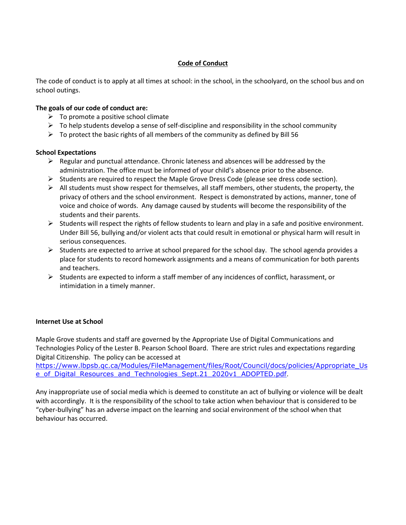# **Code of Conduct**

The code of conduct is to apply at all times at school: in the school, in the schoolyard, on the school bus and on school outings.

# **The goals of our code of conduct are:**

- $\triangleright$  To promote a positive school climate
- $\triangleright$  To help students develop a sense of self-discipline and responsibility in the school community
- $\triangleright$  To protect the basic rights of all members of the community as defined by Bill 56

## **School Expectations**

- $\triangleright$  Regular and punctual attendance. Chronic lateness and absences will be addressed by the administration. The office must be informed of your child's absence prior to the absence.
- $\triangleright$  Students are required to respect the Maple Grove Dress Code (please see dress code section).
- $\triangleright$  All students must show respect for themselves, all staff members, other students, the property, the privacy of others and the school environment. Respect is demonstrated by actions, manner, tone of voice and choice of words. Any damage caused by students will become the responsibility of the students and their parents.
- $\triangleright$  Students will respect the rights of fellow students to learn and play in a safe and positive environment. Under Bill 56, bullying and/or violent acts that could result in emotional or physical harm will result in serious consequences.
- $\triangleright$  Students are expected to arrive at school prepared for the school day. The school agenda provides a place for students to record homework assignments and a means of communication for both parents and teachers.
- $\triangleright$  Students are expected to inform a staff member of any incidences of conflict, harassment, or intimidation in a timely manner.

## **Internet Use at School**

Maple Grove students and staff are governed by the Appropriate Use of Digital Communications and Technologies Policy of the Lester B. Pearson School Board. There are strict rules and expectations regarding Digital Citizenship. The policy can be accessed at

[https://www.lbpsb.qc.ca/Modules/FileManagement/files/Root/Council/docs/policies/Appropriate\\_Us](https://www.lbpsb.qc.ca/Modules/FileManagement/files/Root/Council/docs/policies/Appropriate_Use_of_Digital_Resources_and_Technologies_Sept.21_2020v1_ADOPTED.pdf) [e\\_of\\_Digital\\_Resources\\_and\\_Technologies\\_Sept.21\\_2020v1\\_ADOPTED.pdf](https://www.lbpsb.qc.ca/Modules/FileManagement/files/Root/Council/docs/policies/Appropriate_Use_of_Digital_Resources_and_Technologies_Sept.21_2020v1_ADOPTED.pdf).

Any inappropriate use of social media which is deemed to constitute an act of bullying or violence will be dealt with accordingly. It is the responsibility of the school to take action when behaviour that is considered to be "cyber-bullying" has an adverse impact on the learning and social environment of the school when that behaviour has occurred.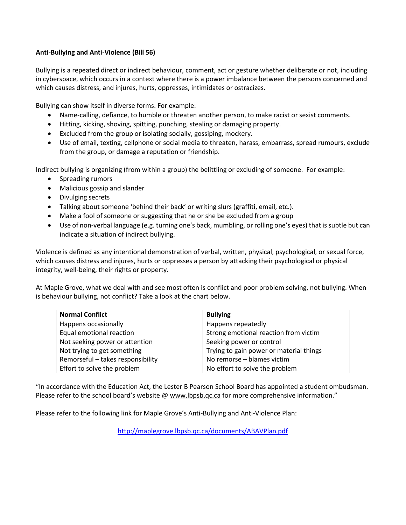# **Anti-Bullying and Anti-Violence (Bill 56)**

Bullying is a repeated direct or indirect behaviour, comment, act or gesture whether deliberate or not, including in cyberspace, which occurs in a context where there is a power imbalance between the persons concerned and which causes distress, and injures, hurts, oppresses, intimidates or ostracizes.

Bullying can show itself in diverse forms. For example:

- Name-calling, defiance, to humble or threaten another person, to make racist or sexist comments.
- Hitting, kicking, shoving, spitting, punching, stealing or damaging property.
- Excluded from the group or isolating socially, gossiping, mockery.
- Use of email, texting, cellphone or social media to threaten, harass, embarrass, spread rumours, exclude from the group, or damage a reputation or friendship.

Indirect bullying is organizing (from within a group) the belittling or excluding of someone. For example:

- Spreading rumors
- Malicious gossip and slander
- Divulging secrets
- Talking about someone 'behind their back' or writing slurs (graffiti, email, etc.).
- Make a fool of someone or suggesting that he or she be excluded from a group
- Use of non-verbal language (e.g. turning one's back, mumbling, or rolling one's eyes) that is subtle but can indicate a situation of indirect bullying.

Violence is defined as any intentional demonstration of verbal, written, physical, psychological, or sexual force, which causes distress and injures, hurts or oppresses a person by attacking their psychological or physical integrity, well-being, their rights or property.

At Maple Grove, what we deal with and see most often is conflict and poor problem solving, not bullying. When is behaviour bullying, not conflict? Take a look at the chart below.

| <b>Normal Conflict</b>            | <b>Bullying</b>                         |
|-----------------------------------|-----------------------------------------|
| Happens occasionally              | Happens repeatedly                      |
| Equal emotional reaction          | Strong emotional reaction from victim   |
| Not seeking power or attention    | Seeking power or control                |
| Not trying to get something       | Trying to gain power or material things |
| Remorseful - takes responsibility | No remorse - blames victim              |
| Effort to solve the problem       | No effort to solve the problem          |

"In accordance with the Education Act, the Lester B Pearson School Board has appointed a student ombudsman. Please refer to the school board's website @ [www.lbpsb.qc.ca](http://www.lbpsb.qc.ca/) for more comprehensive information."

Please refer to the following link for Maple Grove's Anti-Bullying and Anti-Violence Plan:

<http://maplegrove.lbpsb.qc.ca/documents/ABAVPlan.pdf>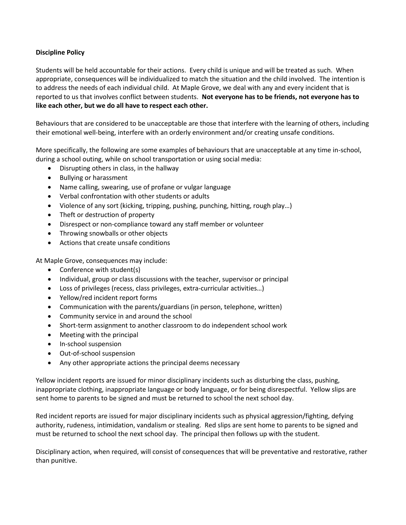# **Discipline Policy**

Students will be held accountable for their actions. Every child is unique and will be treated as such. When appropriate, consequences will be individualized to match the situation and the child involved. The intention is to address the needs of each individual child. At Maple Grove, we deal with any and every incident that is reported to us that involves conflict between students. **Not everyone has to be friends, not everyone has to like each other, but we do all have to respect each other.**

Behaviours that are considered to be unacceptable are those that interfere with the learning of others, including their emotional well-being, interfere with an orderly environment and/or creating unsafe conditions.

More specifically, the following are some examples of behaviours that are unacceptable at any time in-school, during a school outing, while on school transportation or using social media:

- Disrupting others in class, in the hallway
- Bullying or harassment
- Name calling, swearing, use of profane or vulgar language
- Verbal confrontation with other students or adults
- Violence of any sort (kicking, tripping, pushing, punching, hitting, rough play…)
- Theft or destruction of property
- Disrespect or non-compliance toward any staff member or volunteer
- Throwing snowballs or other objects
- Actions that create unsafe conditions

At Maple Grove, consequences may include:

- Conference with student(s)
- Individual, group or class discussions with the teacher, supervisor or principal
- Loss of privileges (recess, class privileges, extra-curricular activities…)
- Yellow/red incident report forms
- Communication with the parents/guardians (in person, telephone, written)
- Community service in and around the school
- Short-term assignment to another classroom to do independent school work
- Meeting with the principal
- In-school suspension
- Out-of-school suspension
- Any other appropriate actions the principal deems necessary

Yellow incident reports are issued for minor disciplinary incidents such as disturbing the class, pushing, inappropriate clothing, inappropriate language or body language, or for being disrespectful. Yellow slips are sent home to parents to be signed and must be returned to school the next school day.

Red incident reports are issued for major disciplinary incidents such as physical aggression/fighting, defying authority, rudeness, intimidation, vandalism or stealing. Red slips are sent home to parents to be signed and must be returned to school the next school day. The principal then follows up with the student.

Disciplinary action, when required, will consist of consequences that will be preventative and restorative, rather than punitive.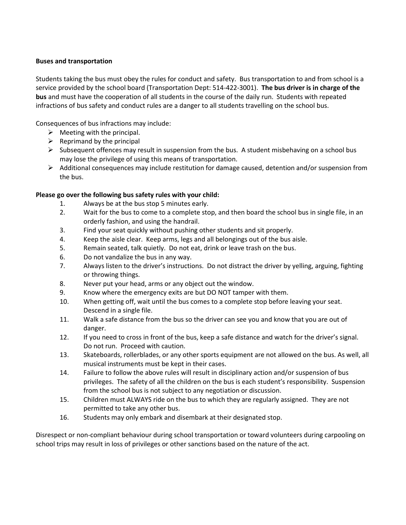## **Buses and transportation**

Students taking the bus must obey the rules for conduct and safety. Bus transportation to and from school is a service provided by the school board (Transportation Dept: 514-422-3001). **The bus driver is in charge of the bus** and must have the cooperation of all students in the course of the daily run. Students with repeated infractions of bus safety and conduct rules are a danger to all students travelling on the school bus.

Consequences of bus infractions may include:

- $\triangleright$  Meeting with the principal.
- $\triangleright$  Reprimand by the principal
- $\triangleright$  Subsequent offences may result in suspension from the bus. A student misbehaving on a school bus may lose the privilege of using this means of transportation.
- $\triangleright$  Additional consequences may include restitution for damage caused, detention and/or suspension from the bus.

# **Please go over the following bus safety rules with your child:**

- 1. Always be at the bus stop 5 minutes early.
- 2. Wait for the bus to come to a complete stop, and then board the school bus in single file, in an orderly fashion, and using the handrail.
- 3. Find your seat quickly without pushing other students and sit properly.
- 4. Keep the aisle clear. Keep arms, legs and all belongings out of the bus aisle.
- 5. Remain seated, talk quietly. Do not eat, drink or leave trash on the bus.
- 6. Do not vandalize the bus in any way.
- 7. Always listen to the driver's instructions. Do not distract the driver by yelling, arguing, fighting or throwing things.
- 8. Never put your head, arms or any object out the window.
- 9. Know where the emergency exits are but DO NOT tamper with them.
- 10. When getting off, wait until the bus comes to a complete stop before leaving your seat. Descend in a single file.
- 11. Walk a safe distance from the bus so the driver can see you and know that you are out of danger.
- 12. If you need to cross in front of the bus, keep a safe distance and watch for the driver's signal. Do not run. Proceed with caution.
- 13. Skateboards, rollerblades, or any other sports equipment are not allowed on the bus. As well, all musical instruments must be kept in their cases.
- 14. Failure to follow the above rules will result in disciplinary action and/or suspension of bus privileges. The safety of all the children on the bus is each student's responsibility. Suspension from the school bus is not subject to any negotiation or discussion.
- 15. Children must ALWAYS ride on the bus to which they are regularly assigned. They are not permitted to take any other bus.
- 16. Students may only embark and disembark at their designated stop.

Disrespect or non-compliant behaviour during school transportation or toward volunteers during carpooling on school trips may result in loss of privileges or other sanctions based on the nature of the act.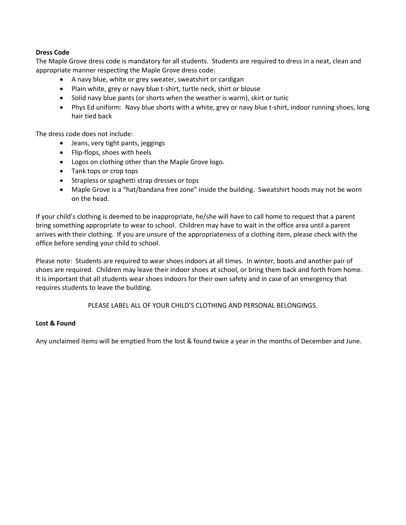## **Dress Code**

The Maple Grove dress code is mandatory for all students. Students are required to dress in a neat, clean and appropriate manner respecting the Maple Grove dress code:

- A navy blue, white or grey sweater, sweatshirt or cardigan
- Plain white, grey or navy blue t-shirt, turtle neck, shirt or blouse
- Solid navy blue pants (or shorts when the weather is warm), skirt or tunic
- Phys Ed uniform: Navy blue shorts with a white, grey or navy blue t-shirt, indoor running shoes, long hair tied back

The dress code does not include:

- Jeans, very tight pants, jeggings
- Flip-flops, shoes with heels
- Logos on clothing other than the Maple Grove logo.
- Tank tops or crop tops
- Strapless or spaghetti strap dresses or tops
- Maple Grove is a "hat/bandana free zone" inside the building. Sweatshirt hoods may not be worn on the head.

If your child's clothing is deemed to be inappropriate, he/she will have to call home to request that a parent bring something appropriate to wear to school. Children may have to wait in the office area until a parent arrives with their clothing. If you are unsure of the appropriateness of a clothing item, please check with the office before sending your child to school.

Please note: Students are required to wear shoes indoors at all times. In winter, boots and another pair of shoes are required. Children may leave their indoor shoes at school, or bring them back and forth from home. It is important that all students wear shoes indoors for their own safety and in case of an emergency that requires students to leave the building.

PLEASE LABEL ALL OF YOUR CHILD'S CLOTHING AND PERSONAL BELONGINGS.

## **Lost & Found**

Any unclaimed items will be emptied from the lost & found twice a year in the months of December and June.